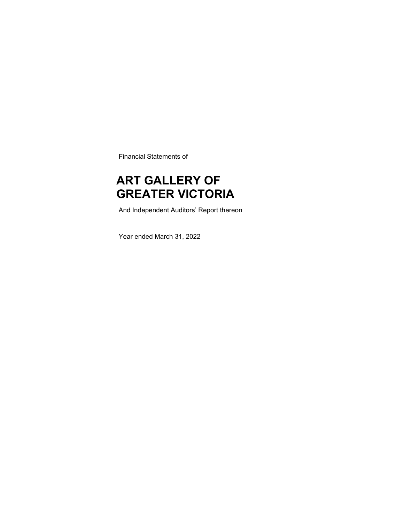Financial Statements of

### **ART GALLERY OF GREATER VICTORIA**

And Independent Auditors' Report thereon

Year ended March 31, 2022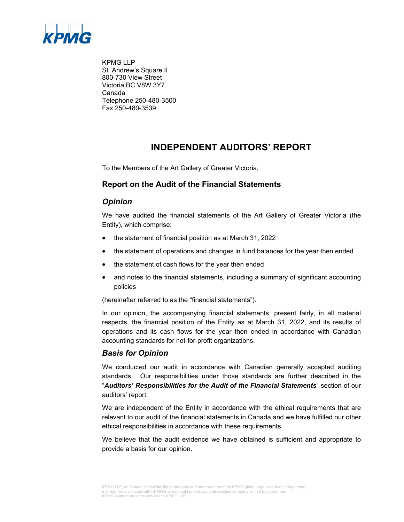

KPMG LLP St. Andrew's Square II 800-730 View Street Victoria BC V8W 3Y7 Canada Telephone 250-480-3500 Fax 250-480-3539

### **INDEPENDENT AUDITORS' REPORT**

To the Members of the Art Gallery of Greater Victoria,

### **Report on the Audit of the Financial Statements**

### *Opinion*

We have audited the financial statements of the Art Gallery of Greater Victoria (the Entity), which comprise:

- the statement of financial position as at March 31, 2022
- the statement of operations and changes in fund balances for the year then ended
- the statement of cash flows for the year then ended
- and notes to the financial statements, including a summary of significant accounting policies

(hereinafter referred to as the "financial statements").

In our opinion, the accompanying financial statements, present fairly, in all material respects, the financial position of the Entity as at March 31, 2022, and its results of operations and its cash flows for the year then ended in accordance with Canadian accounting standards for not-for-profit organizations.

### *Basis for Opinion*

We conducted our audit in accordance with Canadian generally accepted auditing standards. Our responsibilities under those standards are further described in the "*Auditors' Responsibilities for the Audit of the Financial Statements*" section of our auditors' report.

We are independent of the Entity in accordance with the ethical requirements that are relevant to our audit of the financial statements in Canada and we have fulfilled our other ethical responsibilities in accordance with these requirements.

We believe that the audit evidence we have obtained is sufficient and appropriate to provide a basis for our opinion.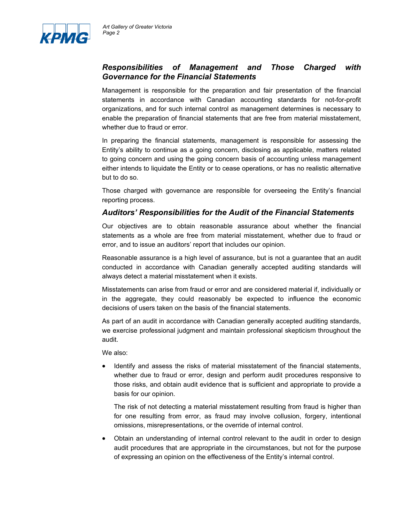

### *Responsibilities of Management and Those Charged with Governance for the Financial Statements*

Management is responsible for the preparation and fair presentation of the financial statements in accordance with Canadian accounting standards for not-for-profit organizations, and for such internal control as management determines is necessary to enable the preparation of financial statements that are free from material misstatement, whether due to fraud or error.

In preparing the financial statements, management is responsible for assessing the Entity's ability to continue as a going concern, disclosing as applicable, matters related to going concern and using the going concern basis of accounting unless management either intends to liquidate the Entity or to cease operations, or has no realistic alternative but to do so.

Those charged with governance are responsible for overseeing the Entity's financial reporting process.

### *Auditors' Responsibilities for the Audit of the Financial Statements*

Our objectives are to obtain reasonable assurance about whether the financial statements as a whole are free from material misstatement, whether due to fraud or error, and to issue an auditors' report that includes our opinion.

Reasonable assurance is a high level of assurance, but is not a guarantee that an audit conducted in accordance with Canadian generally accepted auditing standards will always detect a material misstatement when it exists.

Misstatements can arise from fraud or error and are considered material if, individually or in the aggregate, they could reasonably be expected to influence the economic decisions of users taken on the basis of the financial statements.

As part of an audit in accordance with Canadian generally accepted auditing standards, we exercise professional judgment and maintain professional skepticism throughout the audit.

We also:

• Identify and assess the risks of material misstatement of the financial statements, whether due to fraud or error, design and perform audit procedures responsive to those risks, and obtain audit evidence that is sufficient and appropriate to provide a basis for our opinion.

The risk of not detecting a material misstatement resulting from fraud is higher than for one resulting from error, as fraud may involve collusion, forgery, intentional omissions, misrepresentations, or the override of internal control.

• Obtain an understanding of internal control relevant to the audit in order to design audit procedures that are appropriate in the circumstances, but not for the purpose of expressing an opinion on the effectiveness of the Entity's internal control.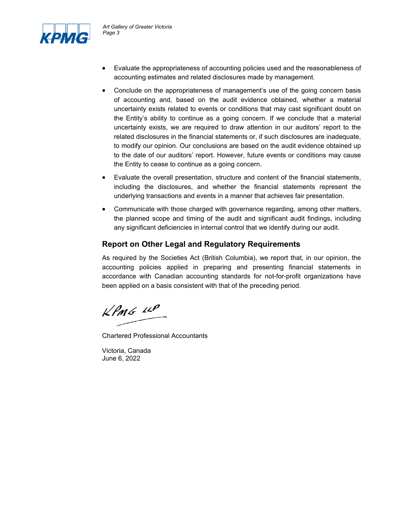

- Evaluate the appropriateness of accounting policies used and the reasonableness of accounting estimates and related disclosures made by management.
- Conclude on the appropriateness of management's use of the going concern basis of accounting and, based on the audit evidence obtained, whether a material uncertainty exists related to events or conditions that may cast significant doubt on the Entity's ability to continue as a going concern. If we conclude that a material uncertainty exists, we are required to draw attention in our auditors' report to the related disclosures in the financial statements or, if such disclosures are inadequate, to modify our opinion. Our conclusions are based on the audit evidence obtained up to the date of our auditors' report. However, future events or conditions may cause the Entity to cease to continue as a going concern.
- Evaluate the overall presentation, structure and content of the financial statements, including the disclosures, and whether the financial statements represent the underlying transactions and events in a manner that achieves fair presentation.
- Communicate with those charged with governance regarding, among other matters, the planned scope and timing of the audit and significant audit findings, including any significant deficiencies in internal control that we identify during our audit.

### **Report on Other Legal and Regulatory Requirements**

As required by the Societies Act (British Columbia), we report that, in our opinion, the accounting policies applied in preparing and presenting financial statements in accordance with Canadian accounting standards for not-for-profit organizations have been applied on a basis consistent with that of the preceding period.

 $k$ *PmG*  $44$ 

Chartered Professional Accountants

Victoria, Canada June 6, 2022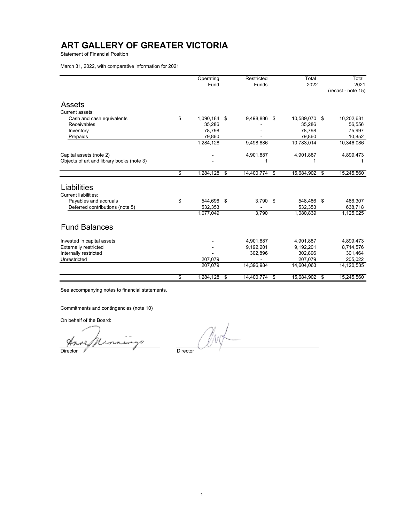Statement of Financial Position

March 31, 2022, with comparative information for 2021

|                                           | Operating        | Restricted       |     | Total         | Total              |
|-------------------------------------------|------------------|------------------|-----|---------------|--------------------|
|                                           | Fund             | Funds            |     | 2022          | 2021               |
|                                           |                  |                  |     |               | (recast - note 15) |
| <b>Assets</b>                             |                  |                  |     |               |                    |
| Current assets:                           |                  |                  |     |               |                    |
| Cash and cash equivalents                 | \$<br>1,090,184  | \$<br>9,498,886  | \$  | 10,589,070    | \$<br>10,202,681   |
| Receivables                               | 35,286           |                  |     | 35,286        | 56,556             |
| Inventory                                 | 78,798           |                  |     | 78,798        | 75,997             |
| Prepaids                                  | 79,860           |                  |     | 79,860        | 10,852             |
|                                           | 1,284,128        | 9,498,886        |     | 10,783,014    | 10,346,086         |
| Capital assets (note 2)                   |                  | 4,901,887        |     | 4,901,887     | 4,899,473          |
| Objects of art and library books (note 3) |                  | 1                |     | 1             | 1                  |
|                                           | \$<br>1,284,128  | \$<br>14,400,774 | \$  | 15,684,902 \$ | 15,245,560         |
|                                           |                  |                  |     |               |                    |
| Liabilities                               |                  |                  |     |               |                    |
| <b>Current liabilities:</b>               |                  |                  |     |               |                    |
| Payables and accruals                     | \$<br>544,696 \$ | 3,790            | -\$ | 548,486 \$    | 486,307            |
| Deferred contributions (note 5)           | 532,353          |                  |     | 532,353       | 638,718            |
|                                           | 1,077,049        | 3,790            |     | 1,080,839     | 1,125,025          |
| <b>Fund Balances</b>                      |                  |                  |     |               |                    |
| Invested in capital assets                |                  | 4,901,887        |     | 4,901,887     | 4,899,473          |
| <b>Externally restricted</b>              |                  | 9,192,201        |     | 9,192,201     | 8,714,576          |
| Internally restricted                     |                  | 302,896          |     | 302,896       | 301,464            |
| Unrestricted                              | 207,079          |                  |     | 207,079       | 205,022            |
|                                           | 207,079          | 14,396,984       |     | 14,604,063    | 14,120,535         |
|                                           | \$<br>1,284,128  | \$<br>14,400,774 | \$  | 15,684,902    | \$<br>15,245,560   |

See accompanying notes to financial statements.

Commitments and contingencies (note 10)

On behalf of the Board:

 $\mathscr{A}_{\lambda}$ 0 Director **Director** Director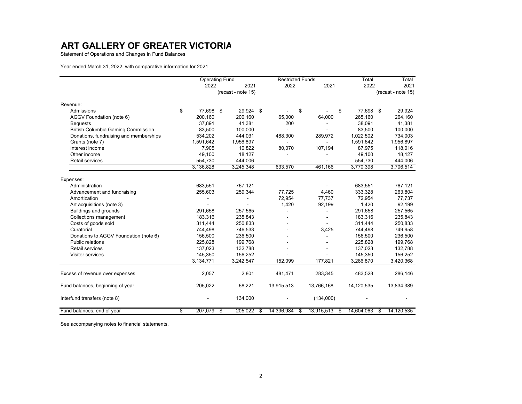Statement of Operations and Changes in Fund Balances

Year ended March 31, 2022, with comparative information for 2021

|                                           | <b>Operating Fund</b> |    |                    | Restricted Funds |            |    |               | Total | Total      |                    |
|-------------------------------------------|-----------------------|----|--------------------|------------------|------------|----|---------------|-------|------------|--------------------|
|                                           | 2022                  |    | 2021               |                  | 2022       |    | 2021          |       | 2022       | 2021               |
|                                           |                       |    | (recast - note 15) |                  |            |    |               |       |            | (recast - note 15) |
| Revenue:                                  |                       |    |                    |                  |            |    |               |       |            |                    |
| Admissions                                | \$<br>77.698 \$       |    | 29,924 \$          |                  |            | \$ |               | \$    | 77.698 \$  | 29.924             |
| AGGV Foundation (note 6)                  | 200,160               |    | 200,160            |                  | 65,000     |    | 64,000        |       | 265,160    | 264.160            |
| <b>Bequests</b>                           | 37,891                |    | 41,381             |                  | 200        |    |               |       | 38,091     | 41,381             |
| <b>British Columbia Gaming Commission</b> | 83,500                |    | 100,000            |                  |            |    |               |       | 83,500     | 100,000            |
| Donations, fundraising and memberships    | 534,202               |    | 444,031            |                  | 488,300    |    | 289,972       |       | 1,022,502  | 734,003            |
| Grants (note 7)                           | 1,591,642             |    | 1,956,897          |                  |            |    |               |       | 1,591,642  | 1,956,897          |
| Interest income                           | 7,905                 |    | 10,822             |                  | 80,070     |    | 107,194       |       | 87,975     | 118,016            |
| Other income                              | 49,100                |    | 18,127             |                  |            |    |               |       | 49,100     | 18,127             |
| Retail services                           | 554,730               |    | 444,006            |                  |            |    |               |       | 554,730    | 444,006            |
|                                           | 3,136,828             |    | 3,245,348          |                  | 633.570    |    | 461.166       |       | 3,770,398  | 3,706,514          |
| Expenses:                                 |                       |    |                    |                  |            |    |               |       |            |                    |
| Administration                            | 683,551               |    | 767,121            |                  |            |    |               |       | 683,551    | 767,121            |
| Advancement and fundraising               | 255,603               |    | 259,344            |                  | 77,725     |    | 4,460         |       | 333,328    | 263,804            |
| Amortization                              |                       |    |                    |                  | 72,954     |    | 77,737        |       | 72,954     | 77,737             |
| Art acquisitions (note 3)                 |                       |    |                    |                  | 1,420      |    | 92,199        |       | 1,420      | 92,199             |
| Buildings and grounds                     | 291,658               |    | 257,565            |                  |            |    |               |       | 291,658    | 257,565            |
| Collections management                    | 183,316               |    | 235,843            |                  |            |    |               |       | 183,316    | 235,843            |
| Costs of goods sold                       | 311,444               |    | 250,833            |                  |            |    |               |       | 311,444    | 250,833            |
| Curatorial                                | 744,498               |    | 746,533            |                  |            |    | 3,425         |       | 744,498    | 749,958            |
| Donations to AGGV Foundation (note 6)     | 156,500               |    | 236,500            |                  |            |    |               |       | 156,500    | 236.500            |
| <b>Public relations</b>                   | 225.828               |    | 199,768            |                  |            |    |               |       | 225,828    | 199.768            |
| <b>Retail services</b>                    | 137,023               |    | 132,788            |                  |            |    |               |       | 137,023    | 132,788            |
| Visitor services                          | 145,350               |    | 156,252            |                  |            |    |               |       | 145,350    | 156,252            |
|                                           | 3,134,771             |    | 3,242,547          |                  | 152,099    |    | 177,821       |       | 3,286,870  | 3,420,368          |
| Excess of revenue over expenses           | 2,057                 |    | 2,801              |                  | 481,471    |    | 283,345       |       | 483,528    | 286,146            |
| Fund balances, beginning of year          | 205,022               |    | 68,221             |                  | 13,915,513 |    | 13,766,168    |       | 14,120,535 | 13,834,389         |
| Interfund transfers (note 8)              |                       |    | 134,000            |                  |            |    | (134,000)     |       |            |                    |
| Fund balances, end of year                | \$<br>207.079         | \$ | 205.022            | -\$              | 14.396.984 | S  | 13.915.513 \$ |       | 14.604.063 | \$<br>14.120.535   |

See accompanying notes to financial statements.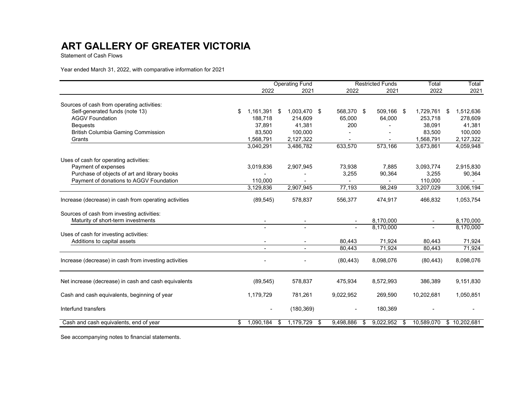Statement of Cash Flows

Year ended March 31, 2022, with comparative information for 2021

|                                                       |                        | <b>Operating Fund</b> |                   | <b>Restricted Funds</b> | Total      | Total               |  |
|-------------------------------------------------------|------------------------|-----------------------|-------------------|-------------------------|------------|---------------------|--|
|                                                       | 2022                   | 2021                  | 2022              | 2021                    | 2022       | 2021                |  |
| Sources of cash from operating activities:            |                        |                       |                   |                         |            |                     |  |
| Self-generated funds (note 13)                        | \$<br>1,161,391<br>-\$ | 1,003,470 \$          | 568,370 \$        | 509,166 \$              | 1,729,761  | 1,512,636<br>S      |  |
| <b>AGGV Foundation</b>                                | 188,718                | 214,609               | 65,000            | 64,000                  | 253,718    | 278,609             |  |
| <b>Bequests</b>                                       | 37,891                 | 41,381                | 200               |                         | 38,091     | 41,381              |  |
| <b>British Columbia Gaming Commission</b>             | 83.500                 | 100,000               |                   |                         | 83,500     | 100,000             |  |
| Grants                                                | 1,568,791              | 2,127,322             |                   |                         | 1,568,791  | 2,127,322           |  |
|                                                       | 3,040,291              | 3,486,782             | 633,570           | 573,166                 | 3,673,861  | 4,059,948           |  |
| Uses of cash for operating activities:                |                        |                       |                   |                         |            |                     |  |
| Payment of expenses                                   | 3,019,836              | 2,907,945             | 73,938            | 7.885                   | 3,093,774  | 2,915,830           |  |
| Purchase of objects of art and library books          |                        |                       | 3,255             | 90,364                  | 3,255      | 90,364              |  |
| Payment of donations to AGGV Foundation               | 110,000                |                       |                   |                         | 110,000    |                     |  |
|                                                       | 3,129,836              | 2,907,945             | 77,193            | 98,249                  | 3,207,029  | 3,006,194           |  |
| Increase (decrease) in cash from operating activities | (89, 545)              | 578,837               | 556,377           | 474,917                 | 466,832    | 1,053,754           |  |
| Sources of cash from investing activities:            |                        |                       |                   |                         |            |                     |  |
| Maturity of short-term investments                    |                        |                       |                   | 8,170,000               |            | 8,170,000           |  |
|                                                       |                        |                       |                   | 8,170,000               |            | 8,170,000           |  |
| Uses of cash for investing activities:                |                        |                       |                   |                         |            |                     |  |
| Additions to capital assets                           |                        |                       | 80,443            | 71,924                  | 80,443     | 71,924              |  |
|                                                       |                        |                       | 80,443            | 71,924                  | 80,443     | $\overline{7}1,924$ |  |
| Increase (decrease) in cash from investing activities |                        |                       | (80, 443)         | 8,098,076               | (80, 443)  | 8,098,076           |  |
| Net increase (decrease) in cash and cash equivalents  | (89, 545)              | 578,837               | 475,934           | 8,572,993               | 386,389    | 9,151,830           |  |
| Cash and cash equivalents, beginning of year          | 1,179,729              | 781,261               | 9,022,952         | 269,590                 | 10,202,681 | 1,050,851           |  |
| Interfund transfers                                   |                        | (180, 369)            |                   | 180,369                 |            |                     |  |
| Cash and cash equivalents, end of year                | 1,090,184 \$<br>S      | 1,179,729 \$          | 9,498,886<br>- \$ | $9,022,952$ \$          | 10,589,070 | \$10,202,681        |  |

See accompanying notes to financial statements.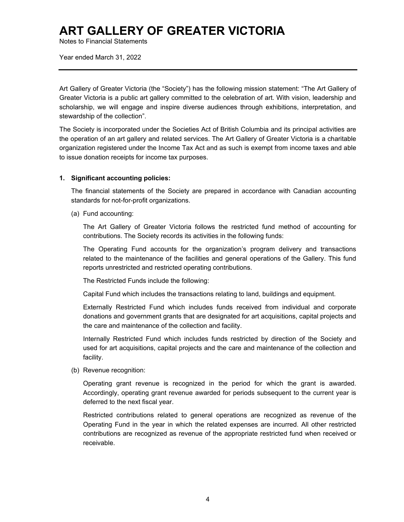Notes to Financial Statements

Year ended March 31, 2022

Art Gallery of Greater Victoria (the "Society") has the following mission statement: "The Art Gallery of Greater Victoria is a public art gallery committed to the celebration of art. With vision, leadership and scholarship, we will engage and inspire diverse audiences through exhibitions, interpretation, and stewardship of the collection".

The Society is incorporated under the Societies Act of British Columbia and its principal activities are the operation of an art gallery and related services. The Art Gallery of Greater Victoria is a charitable organization registered under the Income Tax Act and as such is exempt from income taxes and able to issue donation receipts for income tax purposes.

#### **1. Significant accounting policies:**

The financial statements of the Society are prepared in accordance with Canadian accounting standards for not-for-profit organizations.

(a) Fund accounting:

The Art Gallery of Greater Victoria follows the restricted fund method of accounting for contributions. The Society records its activities in the following funds:

The Operating Fund accounts for the organization's program delivery and transactions related to the maintenance of the facilities and general operations of the Gallery. This fund reports unrestricted and restricted operating contributions.

The Restricted Funds include the following:

Capital Fund which includes the transactions relating to land, buildings and equipment.

Externally Restricted Fund which includes funds received from individual and corporate donations and government grants that are designated for art acquisitions, capital projects and the care and maintenance of the collection and facility.

Internally Restricted Fund which includes funds restricted by direction of the Society and used for art acquisitions, capital projects and the care and maintenance of the collection and facility.

(b) Revenue recognition:

Operating grant revenue is recognized in the period for which the grant is awarded. Accordingly, operating grant revenue awarded for periods subsequent to the current year is deferred to the next fiscal year.

Restricted contributions related to general operations are recognized as revenue of the Operating Fund in the year in which the related expenses are incurred. All other restricted contributions are recognized as revenue of the appropriate restricted fund when received or receivable.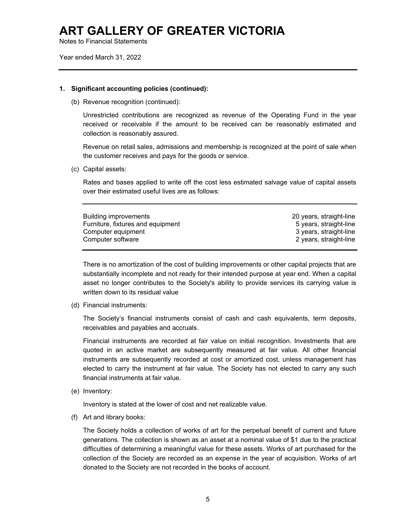Notes to Financial Statements

Year ended March 31, 2022

#### **1. Significant accounting policies (continued):**

(b) Revenue recognition (continued):

Unrestricted contributions are recognized as revenue of the Operating Fund in the year received or receivable if the amount to be received can be reasonably estimated and collection is reasonably assured.

Revenue on retail sales, admissions and membership is recognized at the point of sale when the customer receives and pays for the goods or service.

(c) Capital assets:

Rates and bases applied to write off the cost less estimated salvage value of capital assets over their estimated useful lives are as follows:

| Building improvements             | 20 years, straight-line |
|-----------------------------------|-------------------------|
| Furniture, fixtures and equipment | 5 years, straight-line  |
| Computer equipment                | 3 years, straight-line  |
| Computer software                 | 2 years, straight-line  |
|                                   |                         |

There is no amortization of the cost of building improvements or other capital projects that are substantially incomplete and not ready for their intended purpose at year end. When a capital asset no longer contributes to the Society's ability to provide services its carrying value is written down to its residual value

(d) Financial instruments:

The Society's financial instruments consist of cash and cash equivalents, term deposits, receivables and payables and accruals.

Financial instruments are recorded at fair value on initial recognition. Investments that are quoted in an active market are subsequently measured at fair value. All other financial instruments are subsequently recorded at cost or amortized cost, unless management has elected to carry the instrument at fair value. The Society has not elected to carry any such financial instruments at fair value.

(e) Inventory:

Inventory is stated at the lower of cost and net realizable value.

(f) Art and library books:

The Society holds a collection of works of art for the perpetual benefit of current and future generations. The collection is shown as an asset at a nominal value of \$1 due to the practical difficulties of determining a meaningful value for these assets. Works of art purchased for the collection of the Society are recorded as an expense in the year of acquisition. Works of art donated to the Society are not recorded in the books of account.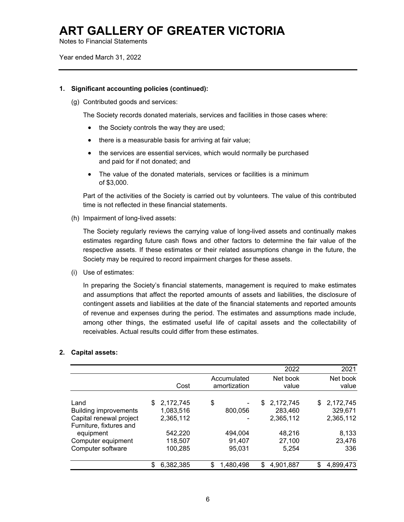Notes to Financial Statements

Year ended March 31, 2022

#### **1. Significant accounting policies (continued):**

(g) Contributed goods and services:

The Society records donated materials, services and facilities in those cases where:

- the Society controls the way they are used;
- there is a measurable basis for arriving at fair value;
- the services are essential services, which would normally be purchased and paid for if not donated; and
- The value of the donated materials, services or facilities is a minimum of \$3,000.

Part of the activities of the Society is carried out by volunteers. The value of this contributed time is not reflected in these financial statements.

(h) Impairment of long-lived assets:

The Society regularly reviews the carrying value of long-lived assets and continually makes estimates regarding future cash flows and other factors to determine the fair value of the respective assets. If these estimates or their related assumptions change in the future, the Society may be required to record impairment charges for these assets.

(i) Use of estimates:

In preparing the Society's financial statements, management is required to make estimates and assumptions that affect the reported amounts of assets and liabilities, the disclosure of contingent assets and liabilities at the date of the financial statements and reported amounts of revenue and expenses during the period. The estimates and assumptions made include, among other things, the estimated useful life of capital assets and the collectability of receivables. Actual results could differ from these estimates.

#### **2. Capital assets:**

|                              |    |           |                                |    | 2022      |    | 2021      |
|------------------------------|----|-----------|--------------------------------|----|-----------|----|-----------|
|                              |    |           | Accumulated                    |    | Net book  |    | Net book  |
|                              |    | Cost      | amortization                   |    | value     |    | value     |
|                              |    |           |                                |    |           |    |           |
| Land                         | S  | 2,172,745 | \$<br>$\overline{\phantom{a}}$ | S  | 2,172,745 | S  | 2,172,745 |
| <b>Building improvements</b> |    | 1,083,516 | 800,056                        |    | 283,460   |    | 329,671   |
| Capital renewal project      |    | 2,365,112 |                                |    | 2,365,112 |    | 2,365,112 |
| Furniture, fixtures and      |    |           |                                |    |           |    |           |
| equipment                    |    | 542,220   | 494,004                        |    | 48,216    |    | 8,133     |
| Computer equipment           |    | 118,507   | 91,407                         |    | 27,100    |    | 23,476    |
| Computer software            |    | 100,285   | 95,031                         |    | 5,254     |    | 336       |
|                              | \$ | 6,382,385 | \$<br>1,480,498                | \$ | 4,901,887 | \$ | 4,899,473 |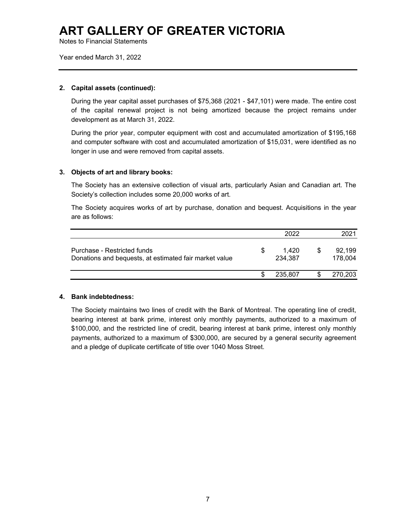Notes to Financial Statements

Year ended March 31, 2022

#### **2. Capital assets (continued):**

During the year capital asset purchases of \$75,368 (2021 - \$47,101) were made. The entire cost of the capital renewal project is not being amortized because the project remains under development as at March 31, 2022.

During the prior year, computer equipment with cost and accumulated amortization of \$195,168 and computer software with cost and accumulated amortization of \$15,031, were identified as no longer in use and were removed from capital assets.

#### **3. Objects of art and library books:**

The Society has an extensive collection of visual arts, particularly Asian and Canadian art. The Society's collection includes some 20,000 works of art.

The Society acquires works of art by purchase, donation and bequest. Acquisitions in the year are as follows:

|                                                                                       |   | 2022             | 2021              |
|---------------------------------------------------------------------------------------|---|------------------|-------------------|
| Purchase - Restricted funds<br>Donations and bequests, at estimated fair market value | S | 1.420<br>234.387 | 92.199<br>178.004 |
|                                                                                       |   | 235.807          | 270,203           |

#### **4. Bank indebtedness:**

The Society maintains two lines of credit with the Bank of Montreal. The operating line of credit, bearing interest at bank prime, interest only monthly payments, authorized to a maximum of \$100,000, and the restricted line of credit, bearing interest at bank prime, interest only monthly payments, authorized to a maximum of \$300,000, are secured by a general security agreement and a pledge of duplicate certificate of title over 1040 Moss Street.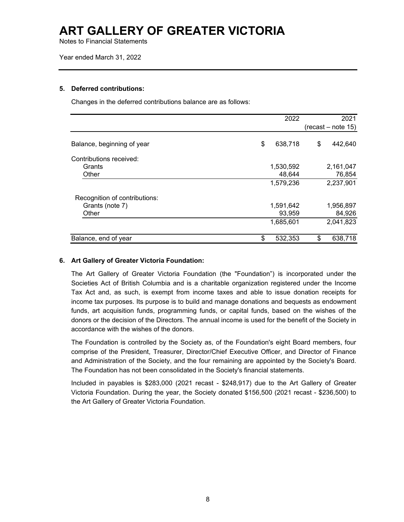Notes to Financial Statements

Year ended March 31, 2022

#### **5. Deferred contributions:**

Changes in the deferred contributions balance are as follows:

|                               | 2022          | 2021               |
|-------------------------------|---------------|--------------------|
|                               |               | (recast – note 15) |
| Balance, beginning of year    | \$<br>638,718 | \$<br>442,640      |
| Contributions received:       |               |                    |
| Grants                        | 1,530,592     | 2,161,047          |
| Other                         | 48,644        | 76,854             |
|                               | 1,579,236     | 2,237,901          |
| Recognition of contributions: |               |                    |
| Grants (note 7)               | 1,591,642     | 1,956,897          |
| Other                         | 93,959        | 84,926             |
|                               | 1,685,601     | 2,041,823          |
| Balance, end of year          | \$<br>532,353 | \$<br>638,718      |

#### **6. Art Gallery of Greater Victoria Foundation:**

The Art Gallery of Greater Victoria Foundation (the "Foundation") is incorporated under the Societies Act of British Columbia and is a charitable organization registered under the Income Tax Act and, as such, is exempt from income taxes and able to issue donation receipts for income tax purposes. Its purpose is to build and manage donations and bequests as endowment funds, art acquisition funds, programming funds, or capital funds, based on the wishes of the donors or the decision of the Directors. The annual income is used for the benefit of the Society in accordance with the wishes of the donors.

The Foundation is controlled by the Society as, of the Foundation's eight Board members, four comprise of the President, Treasurer, Director/Chief Executive Officer, and Director of Finance and Administration of the Society, and the four remaining are appointed by the Society's Board. The Foundation has not been consolidated in the Society's financial statements.

Included in payables is \$283,000 (2021 recast - \$248,917) due to the Art Gallery of Greater Victoria Foundation. During the year, the Society donated \$156,500 (2021 recast - \$236,500) to the Art Gallery of Greater Victoria Foundation.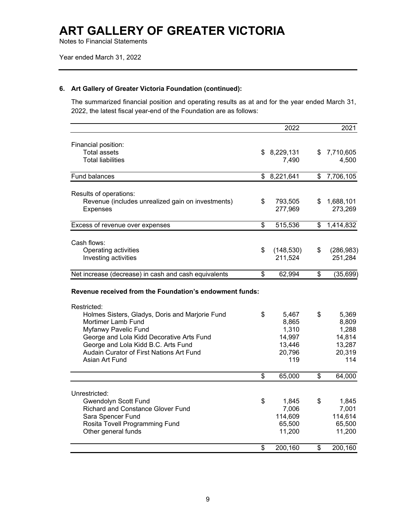Notes to Financial Statements

#### **6. Art Gallery of Greater Victoria Foundation (continued):**

The summarized financial position and operating results as at and for the year ended March 31, 2022, the latest fiscal year-end of the Foundation are as follows:

|                                                                       | 2022                 |    | 2021           |
|-----------------------------------------------------------------------|----------------------|----|----------------|
|                                                                       |                      |    |                |
| Financial position:                                                   |                      |    |                |
| <b>Total assets</b>                                                   | \$<br>8,229,131      | S  | 7,710,605      |
| <b>Total liabilities</b>                                              | 7,490                |    | 4,500          |
| Fund balances                                                         | \$<br>8,221,641      | \$ | 7,706,105      |
|                                                                       |                      |    |                |
| Results of operations:                                                |                      |    |                |
| Revenue (includes unrealized gain on investments)                     | \$<br>793,505        | \$ | 1,688,101      |
| <b>Expenses</b>                                                       | 277,969              |    | 273,269        |
| Excess of revenue over expenses                                       | \$<br>515,536        | \$ | 1,414,832      |
|                                                                       |                      |    |                |
| Cash flows:                                                           |                      |    |                |
| Operating activities                                                  | \$<br>(148, 530)     | \$ | (286, 983)     |
| Investing activities                                                  | 211,524              |    | 251,284        |
| Net increase (decrease) in cash and cash equivalents                  | \$<br>62,994         | \$ | (35, 699)      |
| Revenue received from the Foundation's endowment funds:               |                      |    |                |
|                                                                       |                      |    |                |
| Restricted:                                                           |                      |    |                |
| Holmes Sisters, Gladys, Doris and Marjorie Fund<br>Mortimer Lamb Fund | \$<br>5,467<br>8,865 | \$ | 5,369<br>8,809 |
| Myfanwy Pavelic Fund                                                  | 1,310                |    | 1,288          |
| George and Lola Kidd Decorative Arts Fund                             | 14,997               |    | 14,814         |
| George and Lola Kidd B.C. Arts Fund                                   | 13,446               |    | 13,287         |
| Audain Curator of First Nations Art Fund                              | 20,796               |    | 20,319         |
| Asian Art Fund                                                        | 119                  |    | 114            |
|                                                                       |                      |    |                |
|                                                                       | \$<br>65,000         | \$ | 64,000         |
| Unrestricted:                                                         |                      |    |                |
| <b>Gwendolyn Scott Fund</b>                                           | \$<br>1,845          | \$ | 1,845          |
| <b>Richard and Constance Glover Fund</b>                              | 7,006                |    | 7,001          |
| Sara Spencer Fund                                                     | 114,609              |    | 114,614        |
| Rosita Tovell Programming Fund                                        | 65,500               |    | 65,500         |
| Other general funds                                                   | 11,200               |    | 11,200         |
|                                                                       | \$<br>200,160        | \$ | 200,160        |
|                                                                       |                      |    |                |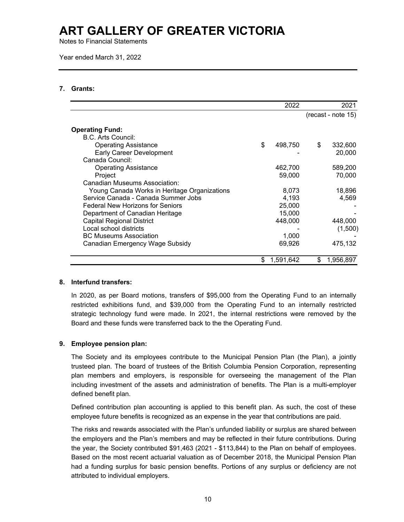Notes to Financial Statements

Year ended March 31, 2022

#### **7. Grants:**

|                                              | 2022            | 2021               |
|----------------------------------------------|-----------------|--------------------|
|                                              |                 | (recast - note 15) |
| <b>Operating Fund:</b>                       |                 |                    |
| B.C. Arts Council:                           |                 |                    |
| <b>Operating Assistance</b>                  | \$<br>498,750   | \$<br>332,600      |
| <b>Early Career Development</b>              |                 | 20,000             |
| Canada Council:                              |                 |                    |
| <b>Operating Assistance</b>                  | 462,700         | 589,200            |
| Project                                      | 59,000          | 70,000             |
| Canadian Museums Association:                |                 |                    |
| Young Canada Works in Heritage Organizations | 8,073           | 18,896             |
| Service Canada - Canada Summer Jobs          | 4.193           | 4,569              |
| <b>Federal New Horizons for Seniors</b>      | 25,000          |                    |
| Department of Canadian Heritage              | 15,000          |                    |
| <b>Capital Regional District</b>             | 448,000         | 448,000            |
| Local school districts                       |                 | (1,500)            |
| <b>BC Museums Association</b>                | 1,000           |                    |
| Canadian Emergency Wage Subsidy              | 69,926          | 475,132            |
|                                              | \$<br>1,591,642 | \$<br>1,956,897    |

#### **8. Interfund transfers:**

In 2020, as per Board motions, transfers of \$95,000 from the Operating Fund to an internally restricted exhibitions fund, and \$39,000 from the Operating Fund to an internally restricted strategic technology fund were made. In 2021, the internal restrictions were removed by the Board and these funds were transferred back to the the Operating Fund.

#### **9. Employee pension plan:**

The Society and its employees contribute to the Municipal Pension Plan (the Plan), a jointly trusteed plan. The board of trustees of the British Columbia Pension Corporation, representing plan members and employers, is responsible for overseeing the management of the Plan including investment of the assets and administration of benefits. The Plan is a multi-employer defined benefit plan.

Defined contribution plan accounting is applied to this benefit plan. As such, the cost of these employee future benefits is recognized as an expense in the year that contributions are paid.

The risks and rewards associated with the Plan's unfunded liability or surplus are shared between the employers and the Plan's members and may be reflected in their future contributions. During the year, the Society contributed \$91,463 (2021 - \$113,844) to the Plan on behalf of employees. Based on the most recent actuarial valuation as of December 2018, the Municipal Pension Plan had a funding surplus for basic pension benefits. Portions of any surplus or deficiency are not attributed to individual employers.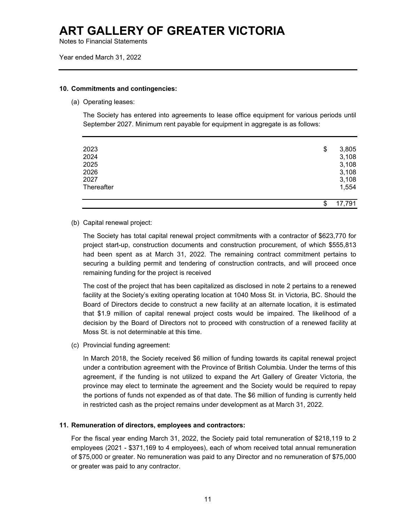Notes to Financial Statements

Year ended March 31, 2022

#### **10. Commitments and contingencies:**

(a) Operating leases:

The Society has entered into agreements to lease office equipment for various periods until September 2027. Minimum rent payable for equipment in aggregate is as follows:

| 2023       | \$<br>3,805  |
|------------|--------------|
| 2024       | 3,108        |
| 2025       | 3,108        |
| 2026       | 3,108        |
| 2027       | 3,108        |
| Thereafter | 1,554        |
|            |              |
|            | \$<br>17,791 |

(b) Capital renewal project:

The Society has total capital renewal project commitments with a contractor of \$623,770 for project start-up, construction documents and construction procurement, of which \$555,813 had been spent as at March 31, 2022. The remaining contract commitment pertains to securing a building permit and tendering of construction contracts, and will proceed once remaining funding for the project is received

The cost of the project that has been capitalized as disclosed in note 2 pertains to a renewed facility at the Society's exiting operating location at 1040 Moss St. in Victoria, BC. Should the Board of Directors decide to construct a new facility at an alternate location, it is estimated that \$1.9 million of capital renewal project costs would be impaired. The likelihood of a decision by the Board of Directors not to proceed with construction of a renewed facility at Moss St. is not determinable at this time.

(c) Provincial funding agreement:

In March 2018, the Society received \$6 million of funding towards its capital renewal project under a contribution agreement with the Province of British Columbia. Under the terms of this agreement, if the funding is not utilized to expand the Art Gallery of Greater Victoria, the province may elect to terminate the agreement and the Society would be required to repay the portions of funds not expended as of that date. The \$6 million of funding is currently held in restricted cash as the project remains under development as at March 31, 2022.

#### **11. Remuneration of directors, employees and contractors:**

For the fiscal year ending March 31, 2022, the Society paid total remuneration of \$218,119 to 2 employees (2021 - \$371,169 to 4 employees), each of whom received total annual remuneration of \$75,000 or greater. No remuneration was paid to any Director and no remuneration of \$75,000 or greater was paid to any contractor.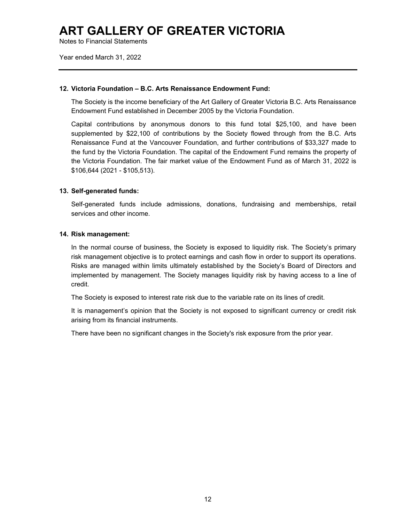Notes to Financial Statements

Year ended March 31, 2022

#### **12. Victoria Foundation – B.C. Arts Renaissance Endowment Fund:**

The Society is the income beneficiary of the Art Gallery of Greater Victoria B.C. Arts Renaissance Endowment Fund established in December 2005 by the Victoria Foundation.

Capital contributions by anonymous donors to this fund total \$25,100, and have been supplemented by \$22,100 of contributions by the Society flowed through from the B.C. Arts Renaissance Fund at the Vancouver Foundation, and further contributions of \$33,327 made to the fund by the Victoria Foundation. The capital of the Endowment Fund remains the property of the Victoria Foundation. The fair market value of the Endowment Fund as of March 31, 2022 is \$106,644 (2021 - \$105,513).

#### **13. Self-generated funds:**

Self-generated funds include admissions, donations, fundraising and memberships, retail services and other income.

#### **14. Risk management:**

In the normal course of business, the Society is exposed to liquidity risk. The Society's primary risk management objective is to protect earnings and cash flow in order to support its operations. Risks are managed within limits ultimately established by the Society's Board of Directors and implemented by management. The Society manages liquidity risk by having access to a line of credit.

The Society is exposed to interest rate risk due to the variable rate on its lines of credit.

It is management's opinion that the Society is not exposed to significant currency or credit risk arising from its financial instruments.

There have been no significant changes in the Society's risk exposure from the prior year.